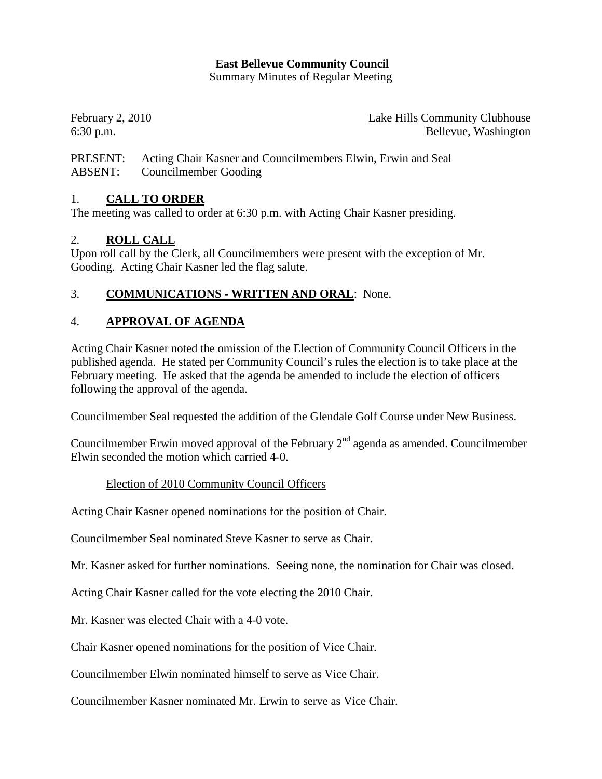### **East Bellevue Community Council**

Summary Minutes of Regular Meeting

February 2, 2010 **Lake Hills Community Clubhouse** 6:30 p.m. Bellevue, Washington

PRESENT: Acting Chair Kasner and Councilmembers Elwin, Erwin and Seal ABSENT: Councilmember Gooding

## 1. **CALL TO ORDER**

The meeting was called to order at 6:30 p.m. with Acting Chair Kasner presiding.

### 2. **ROLL CALL**

Upon roll call by the Clerk, all Councilmembers were present with the exception of Mr. Gooding. Acting Chair Kasner led the flag salute.

## 3. **COMMUNICATIONS - WRITTEN AND ORAL**: None.

### 4. **APPROVAL OF AGENDA**

Acting Chair Kasner noted the omission of the Election of Community Council Officers in the published agenda. He stated per Community Council's rules the election is to take place at the February meeting. He asked that the agenda be amended to include the election of officers following the approval of the agenda.

Councilmember Seal requested the addition of the Glendale Golf Course under New Business.

Councilmember Erwin moved approval of the February  $2<sup>nd</sup>$  agenda as amended. Councilmember Elwin seconded the motion which carried 4-0.

### Election of 2010 Community Council Officers

Acting Chair Kasner opened nominations for the position of Chair.

Councilmember Seal nominated Steve Kasner to serve as Chair.

Mr. Kasner asked for further nominations. Seeing none, the nomination for Chair was closed.

Acting Chair Kasner called for the vote electing the 2010 Chair.

Mr. Kasner was elected Chair with a 4-0 vote.

Chair Kasner opened nominations for the position of Vice Chair.

Councilmember Elwin nominated himself to serve as Vice Chair.

Councilmember Kasner nominated Mr. Erwin to serve as Vice Chair.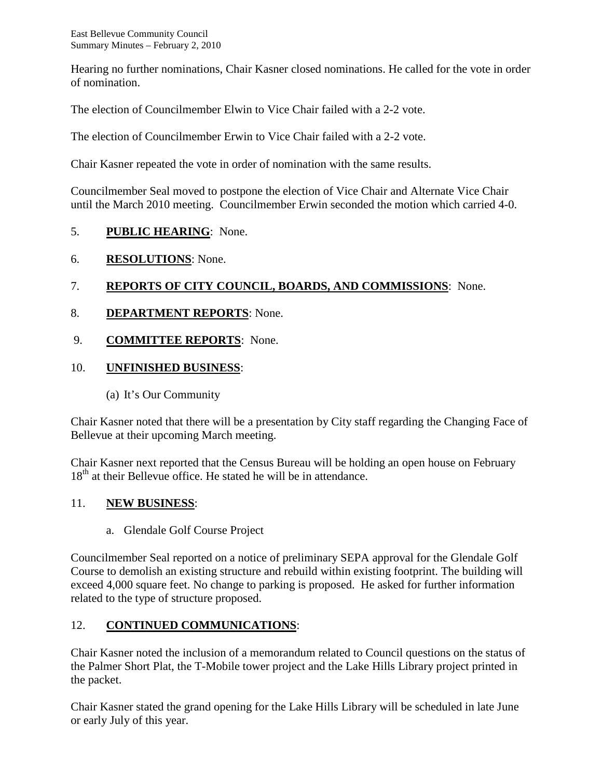Hearing no further nominations, Chair Kasner closed nominations. He called for the vote in order of nomination.

The election of Councilmember Elwin to Vice Chair failed with a 2-2 vote.

The election of Councilmember Erwin to Vice Chair failed with a 2-2 vote.

Chair Kasner repeated the vote in order of nomination with the same results.

Councilmember Seal moved to postpone the election of Vice Chair and Alternate Vice Chair until the March 2010 meeting. Councilmember Erwin seconded the motion which carried 4-0.

## 5. **PUBLIC HEARING**: None.

6. **RESOLUTIONS**: None.

# 7. **REPORTS OF CITY COUNCIL, BOARDS, AND COMMISSIONS**: None.

- 8. **DEPARTMENT REPORTS**: None.
- 9. **COMMITTEE REPORTS**: None.

## 10. **UNFINISHED BUSINESS**:

(a) It's Our Community

Chair Kasner noted that there will be a presentation by City staff regarding the Changing Face of Bellevue at their upcoming March meeting.

Chair Kasner next reported that the Census Bureau will be holding an open house on February 18<sup>th</sup> at their Bellevue office. He stated he will be in attendance.

### 11. **NEW BUSINESS**:

a. Glendale Golf Course Project

Councilmember Seal reported on a notice of preliminary SEPA approval for the Glendale Golf Course to demolish an existing structure and rebuild within existing footprint. The building will exceed 4,000 square feet. No change to parking is proposed. He asked for further information related to the type of structure proposed.

# 12. **CONTINUED COMMUNICATIONS**:

Chair Kasner noted the inclusion of a memorandum related to Council questions on the status of the Palmer Short Plat, the T-Mobile tower project and the Lake Hills Library project printed in the packet.

Chair Kasner stated the grand opening for the Lake Hills Library will be scheduled in late June or early July of this year.